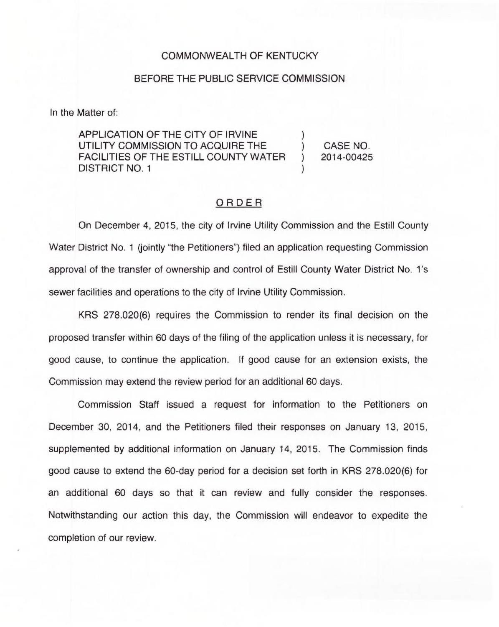## COMMONWEALTH OF KENTUCKY

## BEFORE THE PUBLIC SERVICE COMMISSION

In the Matter of:

APPLICATION OF THE CITY OF IRVINE UTILITY COMMISSION TO ACQUIRE THE  $\qquad$  ) CASE NO.<br>FACILITIES OF THE ESTILL COUNTY WATER ) 2014-00425 FACILITIES OF THE ESTILL COUNTY WATER DISTRICT NO. 1

## ORDER

On December 4, 2015, the city of Irvine Utility Commission and the Estill County Water District No. 1 (jointly "the Petitioners") filed an application requesting Commissic approval of the transfer of ownership and control of Estill County Water District No. 1's sewer facilities and operations to the city of Irvine Utility Commission.

KRS 278.020(6) requires the Commission to render its final decision on the proposed transfer within 60 days of the filing of the application unless it is necessary, for good cause, to continue the application. If good cause for an extension exists, the Commission may extend the review period for an additional 60 days.

Commission Staff issued a request for information to the Petitioners on December 30, 2014, and the Petitioners filed their responses on January 13, 2015, supplemented by additional information on January 14, 2015. The Commission finds good cause to extend the 60-day period for a decision set forth in KRS 278.020(6) for an additional 60 days so that it can review and fully consider the responses. Notwithstanding our action this day, the Commission will endeavor to expedite the completion of our review.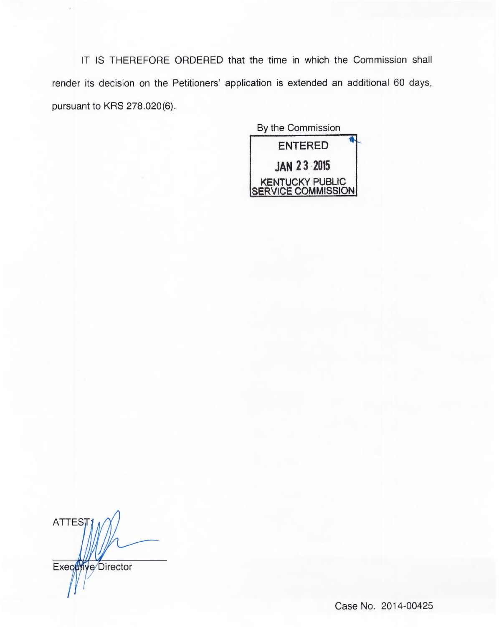IT IS THEREFORE ORDERED that the time in which the Commission shall render its decision on the Petitioners' application is extended an additional 60 days, pursuant to KRS 278.020(6).

By the Commission ENTERED JAN 23 2015 KENTUCKY PUBLIC SERVICE COMMISSION

**ATTES** Executive Director

Case No. 2014-00425